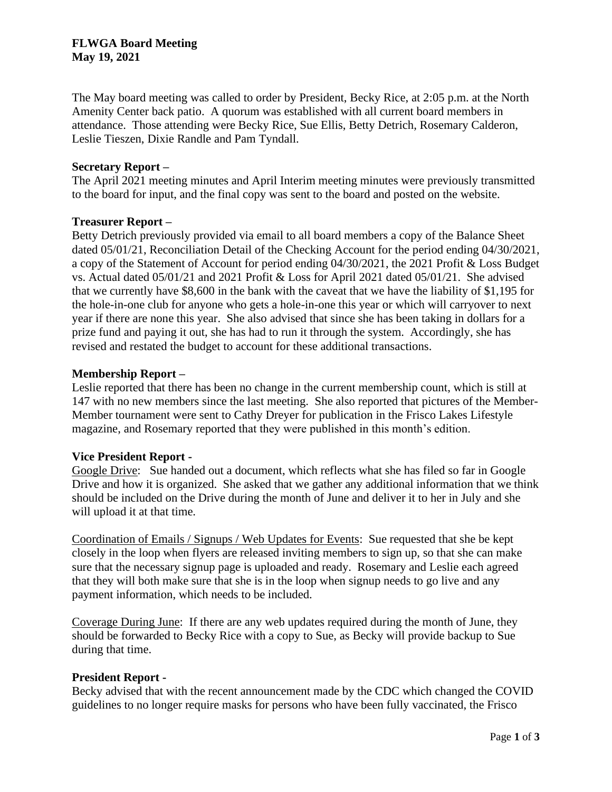# **FLWGA Board Meeting May 19, 2021**

The May board meeting was called to order by President, Becky Rice, at 2:05 p.m. at the North Amenity Center back patio. A quorum was established with all current board members in attendance. Those attending were Becky Rice, Sue Ellis, Betty Detrich, Rosemary Calderon, Leslie Tieszen, Dixie Randle and Pam Tyndall.

## **Secretary Report –**

The April 2021 meeting minutes and April Interim meeting minutes were previously transmitted to the board for input, and the final copy was sent to the board and posted on the website.

## **Treasurer Report –**

Betty Detrich previously provided via email to all board members a copy of the Balance Sheet dated 05/01/21, Reconciliation Detail of the Checking Account for the period ending 04/30/2021, a copy of the Statement of Account for period ending 04/30/2021, the 2021 Profit & Loss Budget vs. Actual dated 05/01/21 and 2021 Profit & Loss for April 2021 dated 05/01/21. She advised that we currently have \$8,600 in the bank with the caveat that we have the liability of \$1,195 for the hole-in-one club for anyone who gets a hole-in-one this year or which will carryover to next year if there are none this year. She also advised that since she has been taking in dollars for a prize fund and paying it out, she has had to run it through the system. Accordingly, she has revised and restated the budget to account for these additional transactions.

# **Membership Report –**

Leslie reported that there has been no change in the current membership count, which is still at 147 with no new members since the last meeting. She also reported that pictures of the Member-Member tournament were sent to Cathy Dreyer for publication in the Frisco Lakes Lifestyle magazine, and Rosemary reported that they were published in this month's edition.

# **Vice President Report -**

Google Drive: Sue handed out a document, which reflects what she has filed so far in Google Drive and how it is organized. She asked that we gather any additional information that we think should be included on the Drive during the month of June and deliver it to her in July and she will upload it at that time.

Coordination of Emails / Signups / Web Updates for Events: Sue requested that she be kept closely in the loop when flyers are released inviting members to sign up, so that she can make sure that the necessary signup page is uploaded and ready. Rosemary and Leslie each agreed that they will both make sure that she is in the loop when signup needs to go live and any payment information, which needs to be included.

Coverage During June: If there are any web updates required during the month of June, they should be forwarded to Becky Rice with a copy to Sue, as Becky will provide backup to Sue during that time.

#### **President Report -**

Becky advised that with the recent announcement made by the CDC which changed the COVID guidelines to no longer require masks for persons who have been fully vaccinated, the Frisco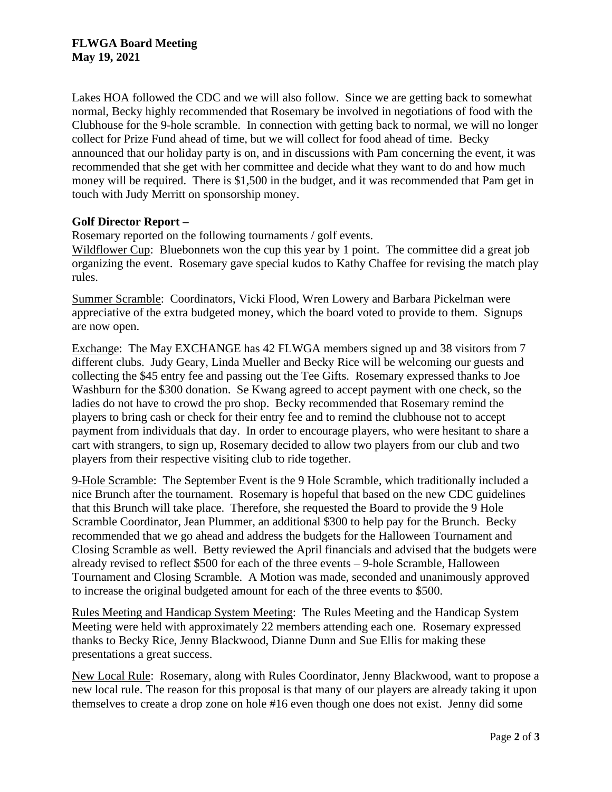Lakes HOA followed the CDC and we will also follow. Since we are getting back to somewhat normal, Becky highly recommended that Rosemary be involved in negotiations of food with the Clubhouse for the 9-hole scramble. In connection with getting back to normal, we will no longer collect for Prize Fund ahead of time, but we will collect for food ahead of time. Becky announced that our holiday party is on, and in discussions with Pam concerning the event, it was recommended that she get with her committee and decide what they want to do and how much money will be required. There is \$1,500 in the budget, and it was recommended that Pam get in touch with Judy Merritt on sponsorship money.

# **Golf Director Report –**

Rosemary reported on the following tournaments / golf events.

Wildflower Cup: Bluebonnets won the cup this year by 1 point. The committee did a great job organizing the event. Rosemary gave special kudos to Kathy Chaffee for revising the match play rules.

Summer Scramble: Coordinators, Vicki Flood, Wren Lowery and Barbara Pickelman were appreciative of the extra budgeted money, which the board voted to provide to them. Signups are now open.

Exchange: The May EXCHANGE has 42 FLWGA members signed up and 38 visitors from 7 different clubs. Judy Geary, Linda Mueller and Becky Rice will be welcoming our guests and collecting the \$45 entry fee and passing out the Tee Gifts. Rosemary expressed thanks to Joe Washburn for the \$300 donation. Se Kwang agreed to accept payment with one check, so the ladies do not have to crowd the pro shop. Becky recommended that Rosemary remind the players to bring cash or check for their entry fee and to remind the clubhouse not to accept payment from individuals that day. In order to encourage players, who were hesitant to share a cart with strangers, to sign up, Rosemary decided to allow two players from our club and two players from their respective visiting club to ride together.

9-Hole Scramble: The September Event is the 9 Hole Scramble, which traditionally included a nice Brunch after the tournament. Rosemary is hopeful that based on the new CDC guidelines that this Brunch will take place. Therefore, she requested the Board to provide the 9 Hole Scramble Coordinator, Jean Plummer, an additional \$300 to help pay for the Brunch. Becky recommended that we go ahead and address the budgets for the Halloween Tournament and Closing Scramble as well. Betty reviewed the April financials and advised that the budgets were already revised to reflect \$500 for each of the three events – 9-hole Scramble, Halloween Tournament and Closing Scramble. A Motion was made, seconded and unanimously approved to increase the original budgeted amount for each of the three events to \$500.

Rules Meeting and Handicap System Meeting: The Rules Meeting and the Handicap System Meeting were held with approximately 22 members attending each one. Rosemary expressed thanks to Becky Rice, Jenny Blackwood, Dianne Dunn and Sue Ellis for making these presentations a great success.

New Local Rule: Rosemary, along with Rules Coordinator, Jenny Blackwood, want to propose a new local rule. The reason for this proposal is that many of our players are already taking it upon themselves to create a drop zone on hole #16 even though one does not exist. Jenny did some